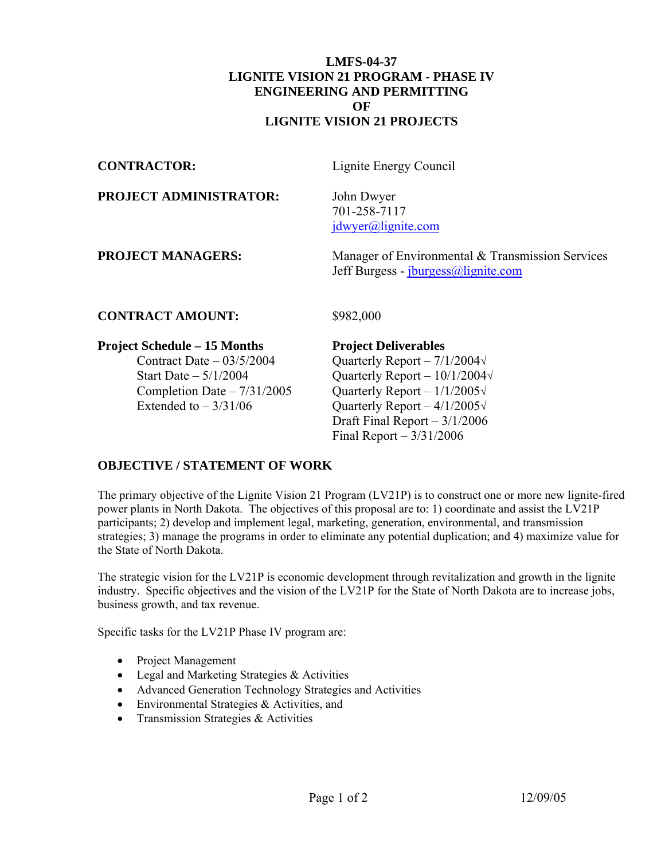### **LMFS-04-37 LIGNITE VISION 21 PROGRAM - PHASE IV ENGINEERING AND PERMITTING OF LIGNITE VISION 21 PROJECTS**

**CONTRACTOR:** Lignite Energy Council

#### **PROJECT ADMINISTRATOR:** John Dwyer

 701-258-7117 [jdwyer@lignite.com](mailto:jdwyer@lignite.com)

**PROJECT MANAGERS:** Manager of Environmental & Transmission Services Jeff Burgess - [jburgess@lignite.com](mailto:jburgess@lignite.com)

### **CONTRACT AMOUNT:** \$982,000

### **Project Schedule – 15 Months Project Deliverables**

Contract Date –  $03/5/2004$  Quarterly Report –  $7/1/2004\sqrt{ }$ Start Date –  $5/1/2004$  Quarterly Report –  $10/1/2004\sqrt{ }$ Completion Date –  $7/31/2005$  Quarterly Report –  $1/1/2005\sqrt{ }$ Extended to  $-3/31/06$  Quarterly Report  $-4/1/2005\sqrt{ }$  Draft Final Report – 3/1/2006 Final Report – 3/31/2006

## **OBJECTIVE / STATEMENT OF WORK**

The primary objective of the Lignite Vision 21 Program (LV21P) is to construct one or more new lignite-fired power plants in North Dakota. The objectives of this proposal are to: 1) coordinate and assist the LV21P participants; 2) develop and implement legal, marketing, generation, environmental, and transmission strategies; 3) manage the programs in order to eliminate any potential duplication; and 4) maximize value for the State of North Dakota.

The strategic vision for the LV21P is economic development through revitalization and growth in the lignite industry. Specific objectives and the vision of the LV21P for the State of North Dakota are to increase jobs, business growth, and tax revenue.

Specific tasks for the LV21P Phase IV program are:

- Project Management
- Legal and Marketing Strategies & Activities
- Advanced Generation Technology Strategies and Activities
- Environmental Strategies & Activities, and
- Transmission Strategies & Activities